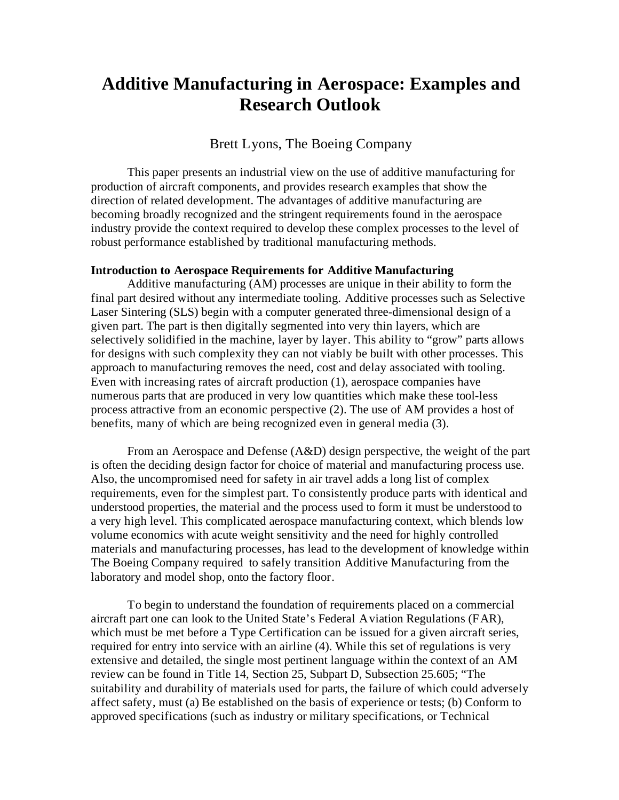# **Additive Manufacturing in Aerospace: Examples and Research Outlook**

# Brett Lyons, The Boeing Company

This paper presents an industrial view on the use of additive manufacturing for production of aircraft components, and provides research examples that show the direction of related development. The advantages of additive manufacturing are becoming broadly recognized and the stringent requirements found in the aerospace industry provide the context required to develop these complex processes to the level of robust performance established by traditional manufacturing methods.

### **Introduction to Aerospace Requirements for Additive Manufacturing**

Additive manufacturing (AM) processes are unique in their ability to form the final part desired without any intermediate tooling. Additive processes such as Selective Laser Sintering (SLS) begin with a computer generated three-dimensional design of a given part. The part is then digitally segmented into very thin layers, which are selectively solidified in the machine, layer by layer. This ability to "grow" parts allows for designs with such complexity they can not viably be built with other processes. This approach to manufacturing removes the need, cost and delay associated with tooling. Even with increasing rates of aircraft production (1), aerospace companies have numerous parts that are produced in very low quantities which make these tool-less process attractive from an economic perspective (2). The use of AM provides a host of benefits, many of which are being recognized even in general media (3).

From an Aerospace and Defense (A&D) design perspective, the weight of the part is often the deciding design factor for choice of material and manufacturing process use. Also, the uncompromised need for safety in air travel adds a long list of complex requirements, even for the simplest part. To consistently produce parts with identical and understood properties, the material and the process used to form it must be understood to a very high level. This complicated aerospace manufacturing context, which blends low volume economics with acute weight sensitivity and the need for highly controlled materials and manufacturing processes, has lead to the development of knowledge within The Boeing Company required to safely transition Additive Manufacturing from the laboratory and model shop, onto the factory floor.

To begin to understand the foundation of requirements placed on a commercial aircraft part one can look to the United State's Federal Aviation Regulations (FAR), which must be met before a Type Certification can be issued for a given aircraft series, required for entry into service with an airline (4). While this set of regulations is very extensive and detailed, the single most pertinent language within the context of an AM review can be found in Title 14, Section 25, Subpart D, Subsection 25.605; "The suitability and durability of materials used for parts, the failure of which could adversely affect safety, must (a) Be established on the basis of experience or tests; (b) Conform to approved specifications (such as industry or military specifications, or Technical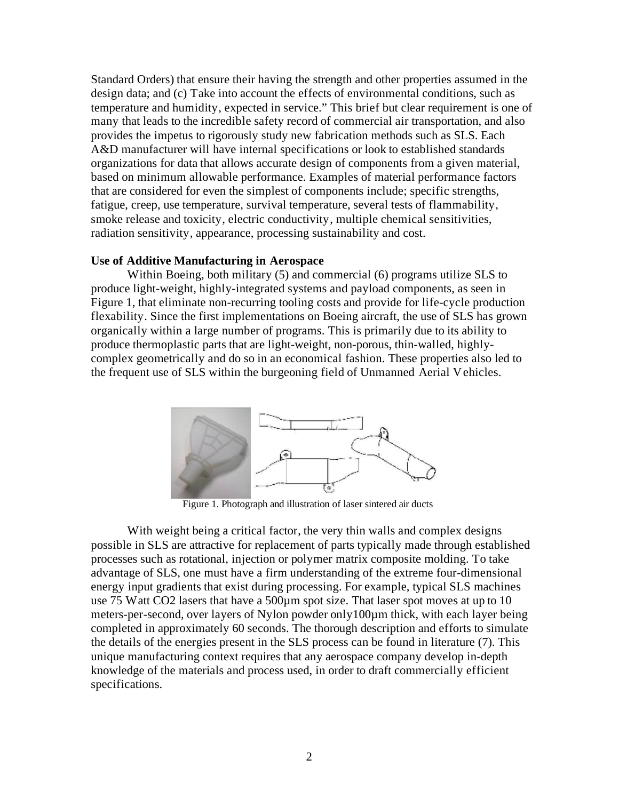Standard Orders) that ensure their having the strength and other properties assumed in the design data; and (c) Take into account the effects of environmental conditions, such as temperature and humidity, expected in service." This brief but clear requirement is one of many that leads to the incredible safety record of commercial air transportation, and also provides the impetus to rigorously study new fabrication methods such as SLS. Each A&D manufacturer will have internal specifications or look to established standards organizations for data that allows accurate design of components from a given material, based on minimum allowable performance. Examples of material performance factors that are considered for even the simplest of components include; specific strengths, fatigue, creep, use temperature, survival temperature, several tests of flammability, smoke release and toxicity, electric conductivity, multiple chemical sensitivities, radiation sensitivity, appearance, processing sustainability and cost.

## **Use of Additive Manufacturing in Aerospace**

Within Boeing, both military (5) and commercial (6) programs utilize SLS to produce light-weight, highly-integrated systems and payload components, as seen in Figure 1, that eliminate non-recurring tooling costs and provide for life-cycle production flexability. Since the first implementations on Boeing aircraft, the use of SLS has grown organically within a large number of programs. This is primarily due to its ability to produce thermoplastic parts that are light-weight, non-porous, thin-walled, highlycomplex geometrically and do so in an economical fashion. These properties also led to the frequent use of SLS within the burgeoning field of Unmanned Aerial Vehicles.



Figure 1. Photograph and illustration of laser sintered air ducts

With weight being a critical factor, the very thin walls and complex designs possible in SLS are attractive for replacement of parts typically made through established processes such as rotational, injection or polymer matrix composite molding. To take advantage of SLS, one must have a firm understanding of the extreme four-dimensional energy input gradients that exist during processing. For example, typical SLS machines use 75 Watt CO2 lasers that have a 500µm spot size. That laser spot moves at up to 10 meters-per-second, over layers of Nylon powder only100µm thick, with each layer being completed in approximately 60 seconds. The thorough description and efforts to simulate the details of the energies present in the SLS process can be found in literature (7). This unique manufacturing context requires that any aerospace company develop in-depth knowledge of the materials and process used, in order to draft commercially efficient specifications.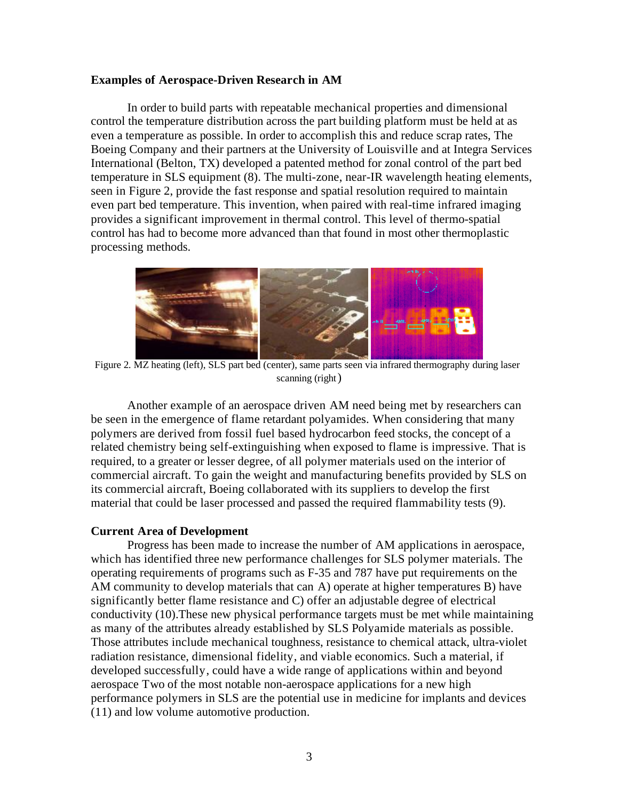#### **Examples of Aerospace-Driven Research in AM**

In order to build parts with repeatable mechanical properties and dimensional control the temperature distribution across the part building platform must be held at as even a temperature as possible. In order to accomplish this and reduce scrap rates, The Boeing Company and their partners at the University of Louisville and at Integra Services International (Belton, TX) developed a patented method for zonal control of the part bed temperature in SLS equipment (8). The multi-zone, near-IR wavelength heating elements, seen in Figure 2, provide the fast response and spatial resolution required to maintain even part bed temperature. This invention, when paired with real-time infrared imaging provides a significant improvement in thermal control. This level of thermo-spatial control has had to become more advanced than that found in most other thermoplastic processing methods.



Figure 2. MZ heating (left), SLS part bed (center), same parts seen via infrared thermography during laser scanning (right)

Another example of an aerospace driven AM need being met by researchers can be seen in the emergence of flame retardant polyamides. When considering that many polymers are derived from fossil fuel based hydrocarbon feed stocks, the concept of a related chemistry being self-extinguishing when exposed to flame is impressive. That is required, to a greater or lesser degree, of all polymer materials used on the interior of commercial aircraft. To gain the weight and manufacturing benefits provided by SLS on its commercial aircraft, Boeing collaborated with its suppliers to develop the first material that could be laser processed and passed the required flammability tests (9).

#### **Current Area of Development**

Progress has been made to increase the number of AM applications in aerospace, which has identified three new performance challenges for SLS polymer materials. The operating requirements of programs such as F-35 and 787 have put requirements on the AM community to develop materials that can A) operate at higher temperatures B) have significantly better flame resistance and C) offer an adjustable degree of electrical conductivity (10).These new physical performance targets must be met while maintaining as many of the attributes already established by SLS Polyamide materials as possible. Those attributes include mechanical toughness, resistance to chemical attack, ultra-violet radiation resistance, dimensional fidelity, and viable economics. Such a material, if developed successfully, could have a wide range of applications within and beyond aerospace Two of the most notable non-aerospace applications for a new high performance polymers in SLS are the potential use in medicine for implants and devices (11) and low volume automotive production.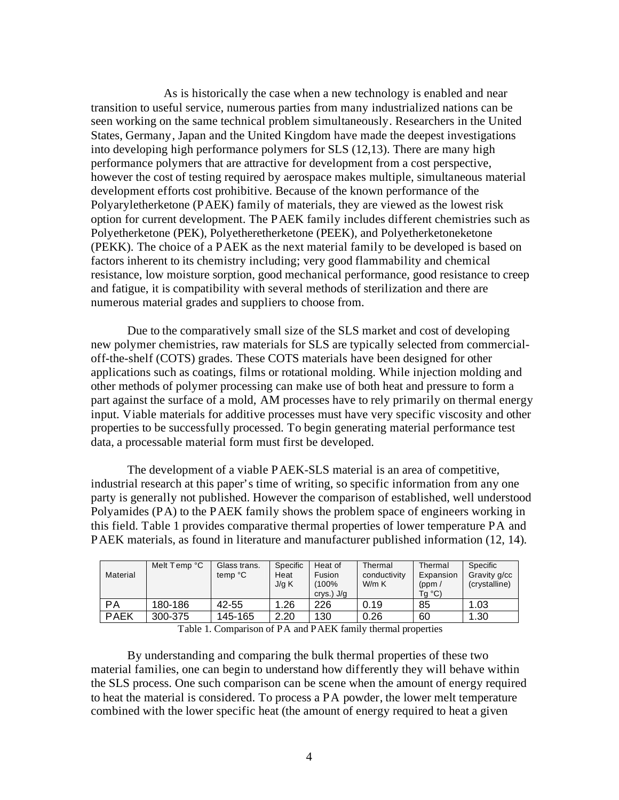As is historically the case when a new technology is enabled and near transition to useful service, numerous parties from many industrialized nations can be seen working on the same technical problem simultaneously. Researchers in the United States, Germany, Japan and the United Kingdom have made the deepest investigations into developing high performance polymers for SLS (12,13). There are many high performance polymers that are attractive for development from a cost perspective, however the cost of testing required by aerospace makes multiple, simultaneous material development efforts cost prohibitive. Because of the known performance of the Polyaryletherketone (PAEK) family of materials, they are viewed as the lowest risk option for current development. The PAEK family includes different chemistries such as Polyetherketone (PEK), Polyetheretherketone (PEEK), and Polyetherketoneketone (PEKK). The choice of a PAEK as the next material family to be developed is based on factors inherent to its chemistry including; very good flammability and chemical resistance, low moisture sorption, good mechanical performance, good resistance to creep and fatigue, it is compatibility with several methods of sterilization and there are numerous material grades and suppliers to choose from.

Due to the comparatively small size of the SLS market and cost of developing new polymer chemistries, raw materials for SLS are typically selected from commercialoff-the-shelf (COTS) grades. These COTS materials have been designed for other applications such as coatings, films or rotational molding. While injection molding and other methods of polymer processing can make use of both heat and pressure to form a part against the surface of a mold, AM processes have to rely primarily on thermal energy input. Viable materials for additive processes must have very specific viscosity and other properties to be successfully processed. To begin generating material performance test data, a processable material form must first be developed.

The development of a viable PAEK-SLS material is an area of competitive, industrial research at this paper's time of writing, so specific information from any one party is generally not published. However the comparison of established, well understood Polyamides (PA) to the PAEK family shows the problem space of engineers working in this field. Table 1 provides comparative thermal properties of lower temperature PA and PAEK materials, as found in literature and manufacturer published information (12, 14).

| Material    | Melt Temp °C | Glass trans.<br>temp °C | Specific<br>Heat<br>J/g K | Heat of<br>Fusion<br>(100%<br>crys.) $J/g$ | Thermal<br>conductivity<br>W/m K | Thermal<br>Expansion<br>(ppm/<br>$Tg^{\circ}C$ | Specific<br>Gravity g/cc<br>(crystalline) |
|-------------|--------------|-------------------------|---------------------------|--------------------------------------------|----------------------------------|------------------------------------------------|-------------------------------------------|
| PA          | 180-186      | 42-55                   | 1.26                      | 226                                        | 0.19                             | 85                                             | 1.03                                      |
| <b>PAEK</b> | 300-375      | 145-165                 | 2.20                      | 130                                        | 0.26                             | 60                                             | 1.30                                      |

Table 1. Comparison of PA and PAEK family thermal properties

By understanding and comparing the bulk thermal properties of these two material families, one can begin to understand how differently they will behave within the SLS process. One such comparison can be scene when the amount of energy required to heat the material is considered. To process a PA powder, the lower melt temperature combined with the lower specific heat (the amount of energy required to heat a given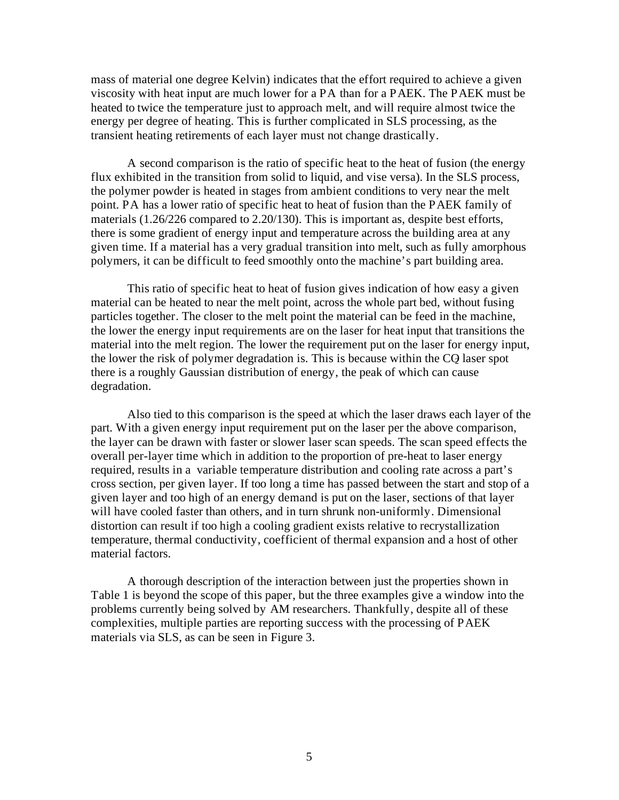mass of material one degree Kelvin) indicates that the effort required to achieve a given viscosity with heat input are much lower for a PA than for a PAEK. The PAEK must be heated to twice the temperature just to approach melt, and will require almost twice the energy per degree of heating. This is further complicated in SLS processing, as the transient heating retirements of each layer must not change drastically.

A second comparison is the ratio of specific heat to the heat of fusion (the energy flux exhibited in the transition from solid to liquid, and vise versa). In the SLS process, the polymer powder is heated in stages from ambient conditions to very near the melt point. PA has a lower ratio of specific heat to heat of fusion than the PAEK family of materials (1.26/226 compared to 2.20/130). This is important as, despite best efforts, there is some gradient of energy input and temperature across the building area at any given time. If a material has a very gradual transition into melt, such as fully amorphous polymers, it can be difficult to feed smoothly onto the machine's part building area.

This ratio of specific heat to heat of fusion gives indication of how easy a given material can be heated to near the melt point, across the whole part bed, without fusing particles together. The closer to the melt point the material can be feed in the machine, the lower the energy input requirements are on the laser for heat input that transitions the material into the melt region. The lower the requirement put on the laser for energy input, the lower the risk of polymer degradation is. This is because within the CQ laser spot there is a roughly Gaussian distribution of energy, the peak of which can cause degradation.

Also tied to this comparison is the speed at which the laser draws each layer of the part. With a given energy input requirement put on the laser per the above comparison, the layer can be drawn with faster or slower laser scan speeds. The scan speed effects the overall per-layer time which in addition to the proportion of pre-heat to laser energy required, results in a variable temperature distribution and cooling rate across a part's cross section, per given layer. If too long a time has passed between the start and stop of a given layer and too high of an energy demand is put on the laser, sections of that layer will have cooled faster than others, and in turn shrunk non-uniformly. Dimensional distortion can result if too high a cooling gradient exists relative to recrystallization temperature, thermal conductivity, coefficient of thermal expansion and a host of other material factors.

A thorough description of the interaction between just the properties shown in Table 1 is beyond the scope of this paper, but the three examples give a window into the problems currently being solved by AM researchers. Thankfully, despite all of these complexities, multiple parties are reporting success with the processing of PAEK materials via SLS, as can be seen in Figure 3.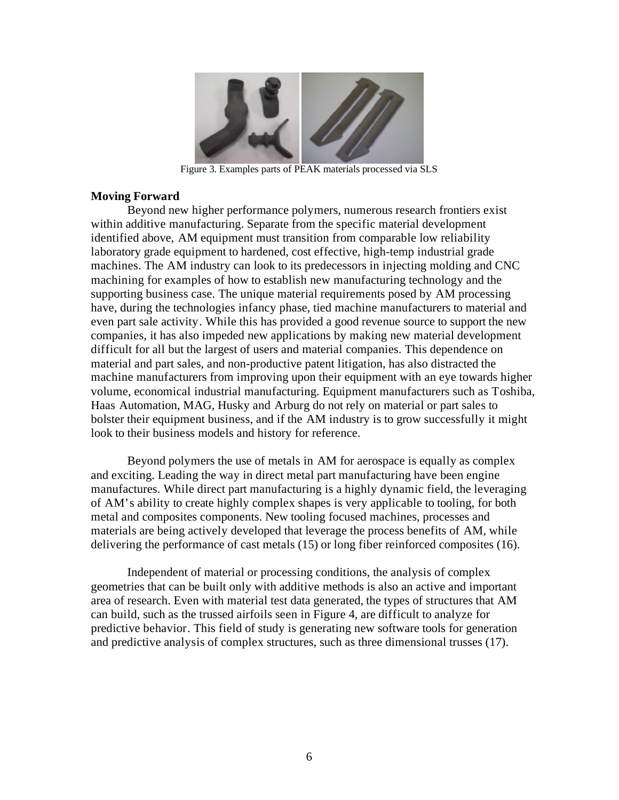

Figure 3. Examples parts of PEAK materials processed via SLS

## **Moving Forward**

Beyond new higher performance polymers, numerous research frontiers exist within additive manufacturing. Separate from the specific material development identified above, AM equipment must transition from comparable low reliability laboratory grade equipment to hardened, cost effective, high-temp industrial grade machines. The AM industry can look to its predecessors in injecting molding and CNC machining for examples of how to establish new manufacturing technology and the supporting business case. The unique material requirements posed by AM processing have, during the technologies infancy phase, tied machine manufacturers to material and even part sale activity. While this has provided a good revenue source to support the new companies, it has also impeded new applications by making new material development difficult for all but the largest of users and material companies. This dependence on material and part sales, and non-productive patent litigation, has also distracted the machine manufacturers from improving upon their equipment with an eye towards higher volume, economical industrial manufacturing. Equipment manufacturers such as Toshiba, Haas Automation, MAG, Husky and Arburg do not rely on material or part sales to bolster their equipment business, and if the AM industry is to grow successfully it might look to their business models and history for reference.

Beyond polymers the use of metals in AM for aerospace is equally as complex and exciting. Leading the way in direct metal part manufacturing have been engine manufactures. While direct part manufacturing is a highly dynamic field, the leveraging of AM's ability to create highly complex shapes is very applicable to tooling, for both metal and composites components. New tooling focused machines, processes and materials are being actively developed that leverage the process benefits of AM, while delivering the performance of cast metals (15) or long fiber reinforced composites (16).

Independent of material or processing conditions, the analysis of complex geometries that can be built only with additive methods is also an active and important area of research. Even with material test data generated, the types of structures that AM can build, such as the trussed airfoils seen in Figure 4, are difficult to analyze for predictive behavior. This field of study is generating new software tools for generation and predictive analysis of complex structures, such as three dimensional trusses (17).